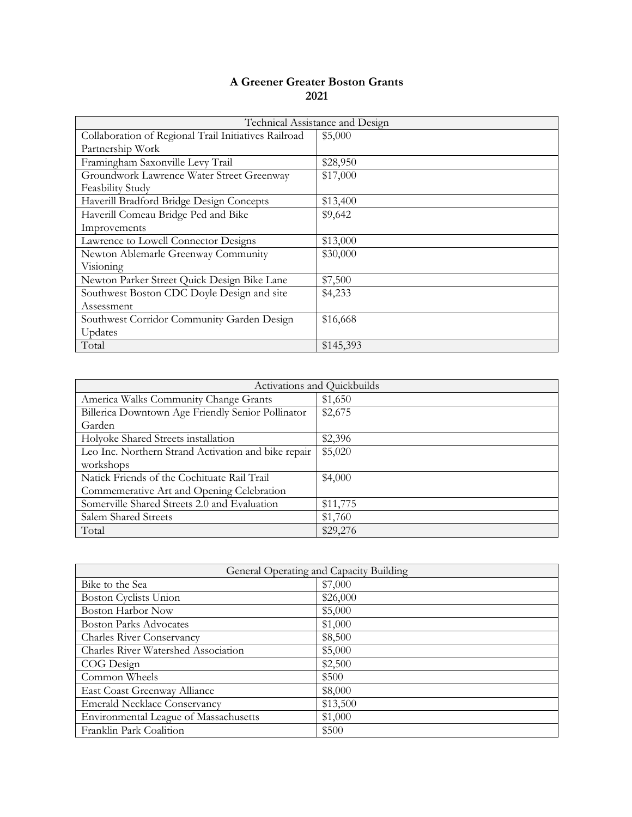| Technical Assistance and Design                      |           |
|------------------------------------------------------|-----------|
| Collaboration of Regional Trail Initiatives Railroad | \$5,000   |
| Partnership Work                                     |           |
| Framingham Saxonville Levy Trail                     | \$28,950  |
| Groundwork Lawrence Water Street Greenway            | \$17,000  |
| <b>Feasbility Study</b>                              |           |
| Haverill Bradford Bridge Design Concepts             | \$13,400  |
| Haverill Comeau Bridge Ped and Bike                  | \$9,642   |
| Improvements                                         |           |
| Lawrence to Lowell Connector Designs                 | \$13,000  |
| Newton Ablemarle Greenway Community                  | \$30,000  |
| Visioning                                            |           |
| Newton Parker Street Quick Design Bike Lane          | \$7,500   |
| Southwest Boston CDC Doyle Design and site           | \$4,233   |
| Assessment                                           |           |
| Southwest Corridor Community Garden Design           | \$16,668  |
| Updates                                              |           |
| Total                                                | \$145,393 |

|                                                     | Activations and Quickbuilds |
|-----------------------------------------------------|-----------------------------|
| America Walks Community Change Grants               | \$1,650                     |
| Billerica Downtown Age Friendly Senior Pollinator   | \$2,675                     |
| Garden                                              |                             |
| Holyoke Shared Streets installation                 | \$2,396                     |
| Leo Inc. Northern Strand Activation and bike repair | \$5,020                     |
| workshops                                           |                             |
| Natick Friends of the Cochituate Rail Trail         | \$4,000                     |
| Commemerative Art and Opening Celebration           |                             |
| Somerville Shared Streets 2.0 and Evaluation        | \$11,775                    |
| Salem Shared Streets                                | \$1,760                     |
| Total                                               | \$29,276                    |

| General Operating and Capacity Building |          |
|-----------------------------------------|----------|
| Bike to the Sea                         | \$7,000  |
| Boston Cyclists Union                   | \$26,000 |
| <b>Boston Harbor Now</b>                | \$5,000  |
| <b>Boston Parks Advocates</b>           | \$1,000  |
| <b>Charles River Conservancy</b>        | \$8,500  |
| Charles River Watershed Association     | \$5,000  |
| COG Design                              | \$2,500  |
| Common Wheels                           | \$500    |
| East Coast Greenway Alliance            | \$8,000  |
| <b>Emerald Necklace Conservancy</b>     | \$13,500 |
| Environmental League of Massachusetts   | \$1,000  |
| Franklin Park Coalition                 | \$500    |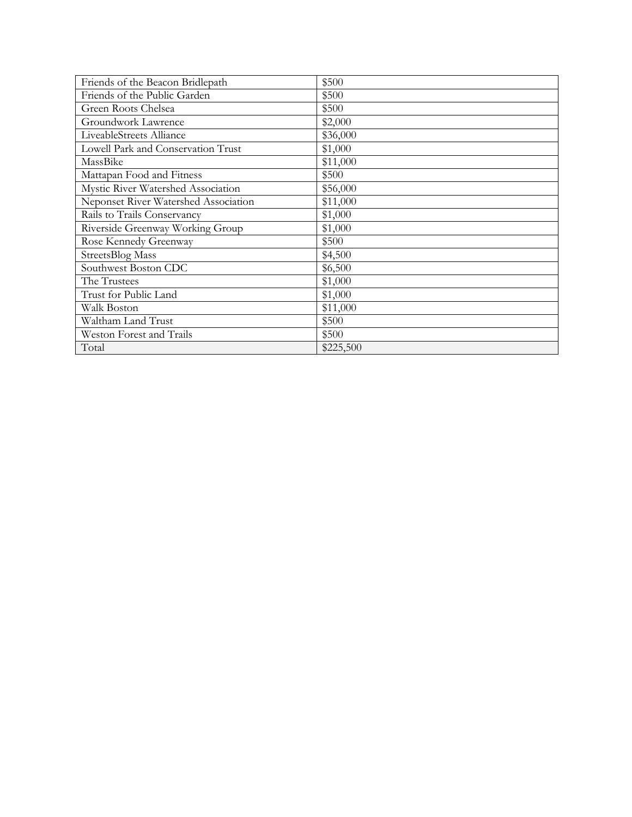| Friends of the Beacon Bridlepath     | \$500     |
|--------------------------------------|-----------|
| Friends of the Public Garden         | \$500     |
| Green Roots Chelsea                  | \$500     |
| Groundwork Lawrence                  | \$2,000   |
| LiveableStreets Alliance             | \$36,000  |
| Lowell Park and Conservation Trust   | \$1,000   |
| MassBike                             | \$11,000  |
| Mattapan Food and Fitness            | \$500     |
| Mystic River Watershed Association   | \$56,000  |
| Neponset River Watershed Association | \$11,000  |
| Rails to Trails Conservancy          | \$1,000   |
| Riverside Greenway Working Group     | \$1,000   |
| Rose Kennedy Greenway                | \$500     |
| StreetsBlog Mass                     | \$4,500   |
| Southwest Boston CDC                 | \$6,500   |
| The Trustees                         | \$1,000   |
| Trust for Public Land                | \$1,000   |
| Walk Boston                          | \$11,000  |
| Waltham Land Trust                   | \$500     |
| <b>Weston Forest and Trails</b>      | \$500     |
| Total                                | \$225,500 |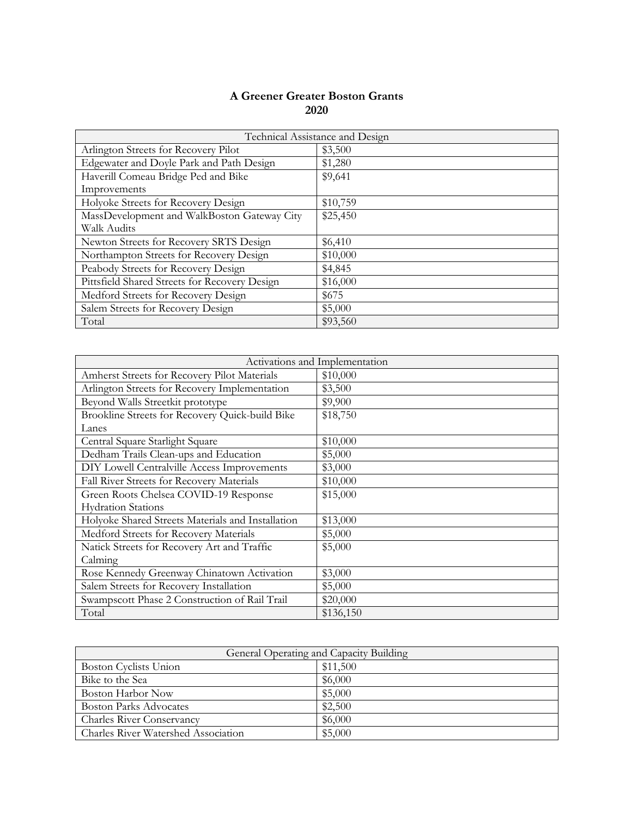|                                               | Technical Assistance and Design |
|-----------------------------------------------|---------------------------------|
| Arlington Streets for Recovery Pilot          | \$3,500                         |
| Edgewater and Doyle Park and Path Design      | \$1,280                         |
| Haverill Comeau Bridge Ped and Bike           | \$9,641                         |
| Improvements                                  |                                 |
| Holyoke Streets for Recovery Design           | \$10,759                        |
| MassDevelopment and WalkBoston Gateway City   | \$25,450                        |
| Walk Audits                                   |                                 |
| Newton Streets for Recovery SRTS Design       | \$6,410                         |
| Northampton Streets for Recovery Design       | \$10,000                        |
| Peabody Streets for Recovery Design           | \$4,845                         |
| Pittsfield Shared Streets for Recovery Design | \$16,000                        |
| Medford Streets for Recovery Design           | \$675                           |
| Salem Streets for Recovery Design             | \$5,000                         |
| Total                                         | \$93,560                        |

|                                                   | Activations and Implementation |
|---------------------------------------------------|--------------------------------|
| Amherst Streets for Recovery Pilot Materials      | \$10,000                       |
| Arlington Streets for Recovery Implementation     | \$3,500                        |
| Beyond Walls Streetkit prototype                  | \$9,900                        |
| Brookline Streets for Recovery Quick-build Bike   | \$18,750                       |
| Lanes                                             |                                |
| Central Square Starlight Square                   | \$10,000                       |
| Dedham Trails Clean-ups and Education             | \$5,000                        |
| DIY Lowell Centralville Access Improvements       | \$3,000                        |
| Fall River Streets for Recovery Materials         | \$10,000                       |
| Green Roots Chelsea COVID-19 Response             | \$15,000                       |
| <b>Hydration Stations</b>                         |                                |
| Holyoke Shared Streets Materials and Installation | \$13,000                       |
| Medford Streets for Recovery Materials            | \$5,000                        |
| Natick Streets for Recovery Art and Traffic       | \$5,000                        |
| Calming                                           |                                |
| Rose Kennedy Greenway Chinatown Activation        | \$3,000                        |
| Salem Streets for Recovery Installation           | \$5,000                        |
| Swampscott Phase 2 Construction of Rail Trail     | \$20,000                       |
| Total                                             | \$136,150                      |

| General Operating and Capacity Building |          |
|-----------------------------------------|----------|
| Boston Cyclists Union                   | \$11,500 |
| Bike to the Sea                         | \$6,000  |
| Boston Harbor Now                       | \$5,000  |
| <b>Boston Parks Advocates</b>           | \$2,500  |
| <b>Charles River Conservancy</b>        | \$6,000  |
| Charles River Watershed Association     | \$5,000  |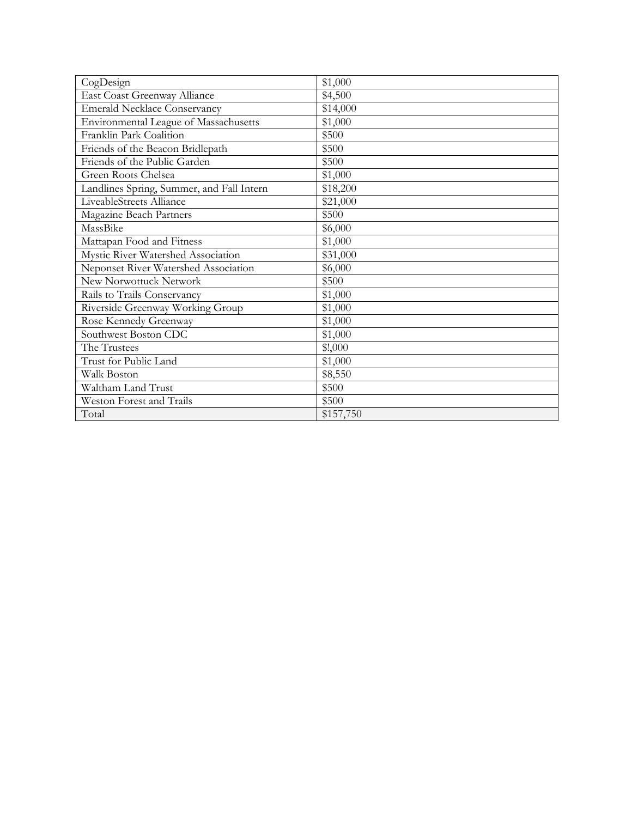| CogDesign                                 | \$1,000   |
|-------------------------------------------|-----------|
| East Coast Greenway Alliance              | \$4,500   |
| <b>Emerald Necklace Conservancy</b>       | \$14,000  |
| Environmental League of Massachusetts     | \$1,000   |
| Franklin Park Coalition                   | \$500     |
| Friends of the Beacon Bridlepath          | \$500     |
| Friends of the Public Garden              | \$500     |
| Green Roots Chelsea                       | \$1,000   |
| Landlines Spring, Summer, and Fall Intern | \$18,200  |
| LiveableStreets Alliance                  | \$21,000  |
| Magazine Beach Partners                   | \$500     |
| MassBike                                  | \$6,000   |
| Mattapan Food and Fitness                 | \$1,000   |
| Mystic River Watershed Association        | \$31,000  |
| Neponset River Watershed Association      | \$6,000   |
| New Norwottuck Network                    | \$500     |
| Rails to Trails Conservancy               | \$1,000   |
| Riverside Greenway Working Group          | \$1,000   |
| Rose Kennedy Greenway                     | \$1,000   |
| Southwest Boston CDC                      | \$1,000   |
| The Trustees                              | \$!,000   |
| Trust for Public Land                     | \$1,000   |
| Walk Boston                               | \$8,550   |
| Waltham Land Trust                        | \$500     |
| Weston Forest and Trails                  | \$500     |
| Total                                     | \$157,750 |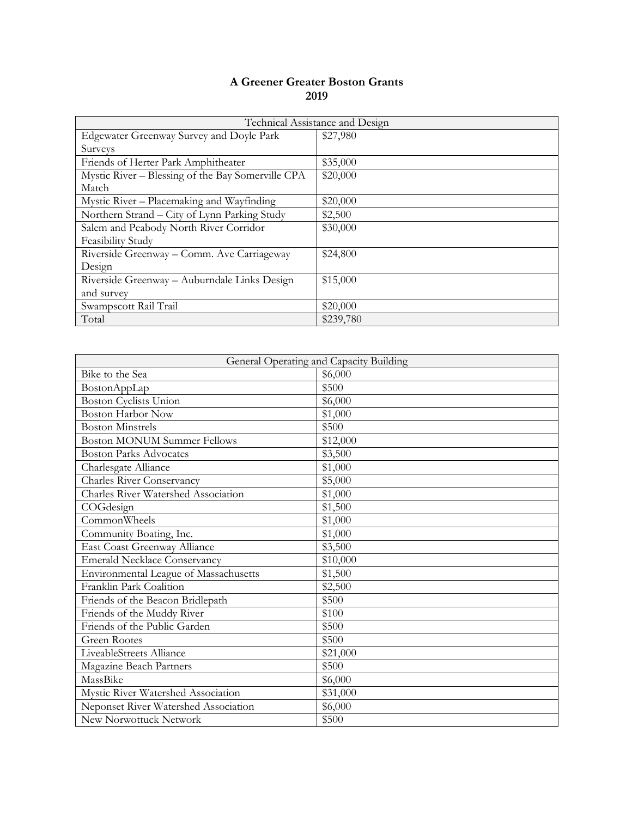|                                                   | Technical Assistance and Design |
|---------------------------------------------------|---------------------------------|
| Edgewater Greenway Survey and Doyle Park          | \$27,980                        |
| Surveys                                           |                                 |
| Friends of Herter Park Amphitheater               | \$35,000                        |
| Mystic River - Blessing of the Bay Somerville CPA | \$20,000                        |
| Match                                             |                                 |
| Mystic River – Placemaking and Wayfinding         | \$20,000                        |
| Northern Strand – City of Lynn Parking Study      | \$2,500                         |
| Salem and Peabody North River Corridor            | \$30,000                        |
| Feasibility Study                                 |                                 |
| Riverside Greenway - Comm. Ave Carriageway        | \$24,800                        |
| Design                                            |                                 |
| Riverside Greenway - Auburndale Links Design      | \$15,000                        |
| and survey                                        |                                 |
| Swampscott Rail Trail                             | \$20,000                        |
| Total                                             | \$239,780                       |

| General Operating and Capacity Building |          |
|-----------------------------------------|----------|
| Bike to the Sea                         | \$6,000  |
| BostonAppLap                            | \$500    |
| <b>Boston Cyclists Union</b>            | \$6,000  |
| <b>Boston Harbor Now</b>                | \$1,000  |
| <b>Boston Minstrels</b>                 | \$500    |
| <b>Boston MONUM Summer Fellows</b>      | \$12,000 |
| <b>Boston Parks Advocates</b>           | \$3,500  |
| Charlesgate Alliance                    | \$1,000  |
| <b>Charles River Conservancy</b>        | \$5,000  |
| Charles River Watershed Association     | \$1,000  |
| COGdesign                               | \$1,500  |
| CommonWheels                            | \$1,000  |
| Community Boating, Inc.                 | \$1,000  |
| East Coast Greenway Alliance            | \$3,500  |
| <b>Emerald Necklace Conservancy</b>     | \$10,000 |
| Environmental League of Massachusetts   | \$1,500  |
| Franklin Park Coalition                 | \$2,500  |
| Friends of the Beacon Bridlepath        | \$500    |
| Friends of the Muddy River              | \$100    |
| Friends of the Public Garden            | \$500    |
| <b>Green Rootes</b>                     | \$500    |
| LiveableStreets Alliance                | \$21,000 |
| Magazine Beach Partners                 | \$500    |
| MassBike                                | \$6,000  |
| Mystic River Watershed Association      | \$31,000 |
| Neponset River Watershed Association    | \$6,000  |
| New Norwottuck Network                  | \$500    |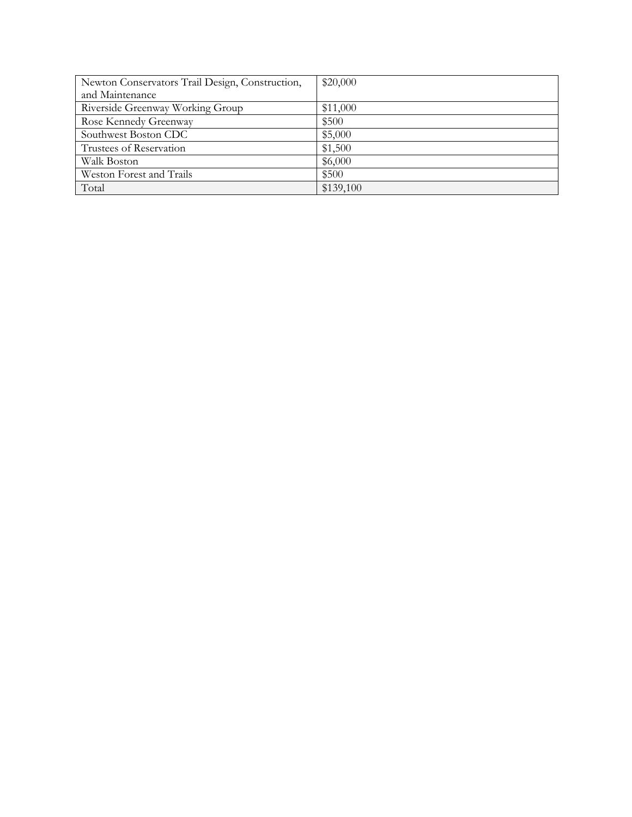| Newton Conservators Trail Design, Construction, | \$20,000  |
|-------------------------------------------------|-----------|
| and Maintenance                                 |           |
| Riverside Greenway Working Group                | \$11,000  |
| Rose Kennedy Greenway                           | \$500     |
| Southwest Boston CDC                            | \$5,000   |
| Trustees of Reservation                         | \$1,500   |
| Walk Boston                                     | \$6,000   |
| Weston Forest and Trails                        | \$500     |
| Total                                           | \$139,100 |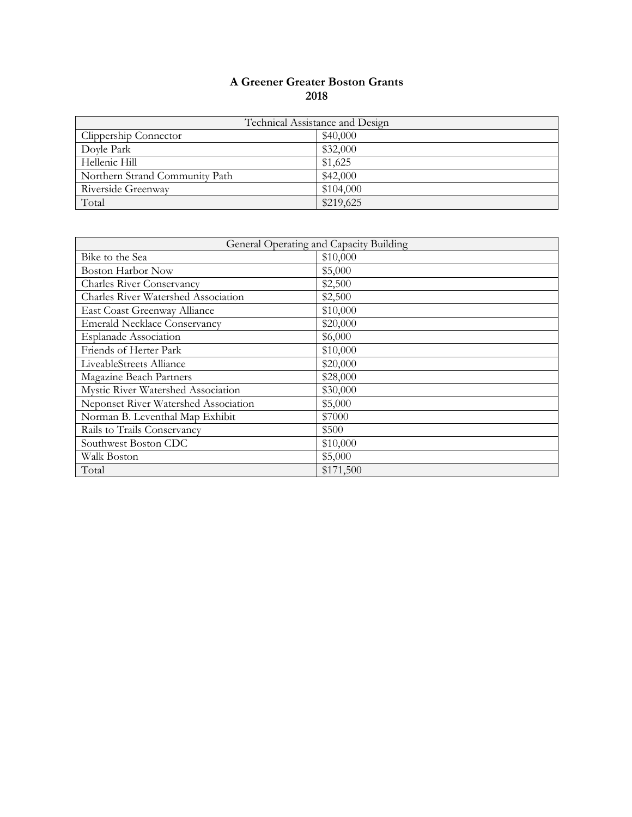| Technical Assistance and Design |           |
|---------------------------------|-----------|
| Clippership Connector           | \$40,000  |
| Doyle Park                      | \$32,000  |
| Hellenic Hill                   | \$1,625   |
| Northern Strand Community Path  | \$42,000  |
| Riverside Greenway              | \$104,000 |
| Total                           | \$219,625 |

| General Operating and Capacity Building |           |
|-----------------------------------------|-----------|
| Bike to the Sea                         | \$10,000  |
| <b>Boston Harbor Now</b>                | \$5,000   |
| <b>Charles River Conservancy</b>        | \$2,500   |
| Charles River Watershed Association     | \$2,500   |
| East Coast Greenway Alliance            | \$10,000  |
| <b>Emerald Necklace Conservancy</b>     | \$20,000  |
| <b>Esplanade Association</b>            | \$6,000   |
| Friends of Herter Park                  | \$10,000  |
| LiveableStreets Alliance                | \$20,000  |
| Magazine Beach Partners                 | \$28,000  |
| Mystic River Watershed Association      | \$30,000  |
| Neponset River Watershed Association    | \$5,000   |
| Norman B. Leventhal Map Exhibit         | \$7000    |
| Rails to Trails Conservancy             | \$500     |
| Southwest Boston CDC                    | \$10,000  |
| Walk Boston                             | \$5,000   |
| Total                                   | \$171,500 |